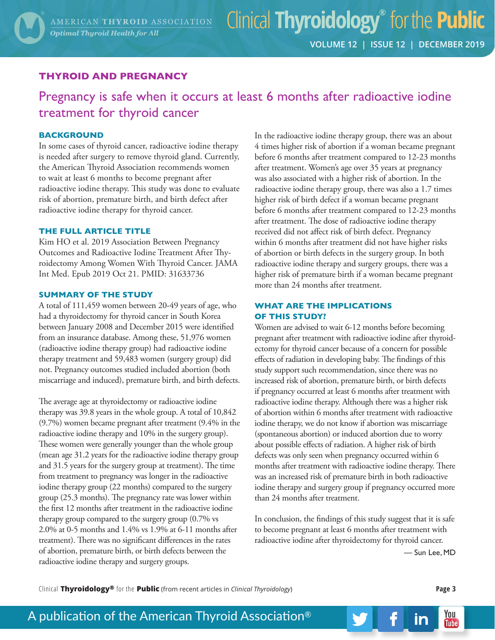## **THYROID AND PREGNANCY**

Pregnancy is safe when it occurs at least 6 months after radioactive iodine treatment for thyroid cancer

### **BACKGROUND**

In some cases of thyroid cancer, radioactive iodine therapy is needed after surgery to remove thyroid gland. Currently, the American Thyroid Association recommends women to wait at least 6 months to become pregnant after radioactive iodine therapy. This study was done to evaluate risk of abortion, premature birth, and birth defect after radioactive iodine therapy for thyroid cancer.

### **THE FULL ARTICLE TITLE**

Kim HO et al. 2019 Association Between Pregnancy Outcomes and Radioactive Iodine Treatment After Thyroidectomy Among Women With Thyroid Cancer. JAMA Int Med. Epub 2019 Oct 21. PMID: 31633736

#### **SUMMARY OF THE STUDY**

A total of 111,459 women between 20-49 years of age, who had a thyroidectomy for thyroid cancer in South Korea between January 2008 and December 2015 were identified from an insurance database. Among these, 51,976 women (radioactive iodine therapy group) had radioactive iodine therapy treatment and 59,483 women (surgery group) did not. Pregnancy outcomes studied included abortion (both miscarriage and induced), premature birth, and birth defects.

The average age at thyroidectomy or radioactive iodine therapy was 39.8 years in the whole group. A total of 10,842 (9.7%) women became pregnant after treatment (9.4% in the radioactive iodine therapy and 10% in the surgery group). These women were generally younger than the whole group (mean age 31.2 years for the radioactive iodine therapy group and 31.5 years for the surgery group at treatment). The time from treatment to pregnancy was longer in the radioactive iodine therapy group (22 months) compared to the surgery group (25.3 months). The pregnancy rate was lower within the first 12 months after treatment in the radioactive iodine therapy group compared to the surgery group (0.7% vs 2.0% at 0-5 months and 1.4% vs 1.9% at 6-11 months after treatment). There was no significant differences in the rates of abortion, premature birth, or birth defects between the radioactive iodine therapy and surgery groups.

In the radioactive iodine therapy group, there was an about 4 times higher risk of abortion if a woman became pregnant before 6 months after treatment compared to 12-23 months after treatment. Women's age over 35 years at pregnancy was also associated with a higher risk of abortion. In the radioactive iodine therapy group, there was also a 1.7 times higher risk of birth defect if a woman became pregnant before 6 months after treatment compared to 12-23 months after treatment. The dose of radioactive iodine therapy received did not affect risk of birth defect. Pregnancy within 6 months after treatment did not have higher risks of abortion or birth defects in the surgery group. In both radioactive iodine therapy and surgery groups, there was a higher risk of premature birth if a woman became pregnant more than 24 months after treatment.

## **WHAT ARE THE IMPLICATIONS OF THIS STUDY?**

Women are advised to wait 6-12 months before becoming pregnant after treatment with radioactive iodine after thyroidectomy for thyroid cancer because of a concern for possible effects of radiation in developing baby. The findings of this study support such recommendation, since there was no increased risk of abortion, premature birth, or birth defects if pregnancy occurred at least 6 months after treatment with radioactive iodine therapy. Although there was a higher risk of abortion within 6 months after treatment with radioactive iodine therapy, we do not know if abortion was miscarriage (spontaneous abortion) or induced abortion due to worry about possible effects of radiation. A higher risk of birth defects was only seen when pregnancy occurred within 6 months after treatment with radioactive iodine therapy. There was an increased risk of premature birth in both radioactive iodine therapy and surgery group if pregnancy occurred more than 24 months after treatment.

In conclusion, the findings of this study suggest that it is safe to become pregnant at least 6 months after treatment with radioactive iodine after thyroidectomy for thyroid cancer.

— Sun Lee, MD

in

Clinical **Thyroidology®** for the **Public** (from recent articles in *Clinical Thyroidology*) **Page 3**

You

**Tube**